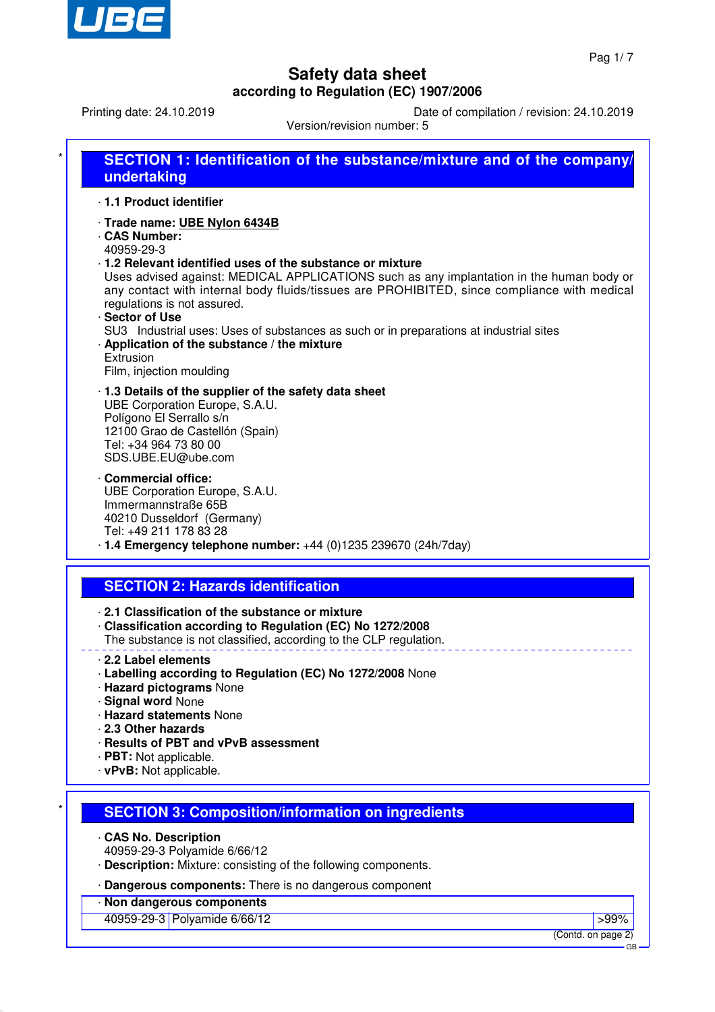

Printing date: 24.10.2019 Date of compilation / revision: 24.10.2019

Version/revision number: 5

|            | undertaking                                                                                                                                                                                                                                                                                                                        |
|------------|------------------------------------------------------------------------------------------------------------------------------------------------------------------------------------------------------------------------------------------------------------------------------------------------------------------------------------|
|            | 1.1 Product identifier                                                                                                                                                                                                                                                                                                             |
| 40959-29-3 | · Trade name: UBE Nylon 6434B<br>CAS Number:<br>1.2 Relevant identified uses of the substance or mixture<br>Uses advised against: MEDICAL APPLICATIONS such as any implantation in the human body or<br>any contact with internal body fluids/tissues are PROHIBITED, since compliance with medical<br>regulations is not assured. |
| Extrusion  | Sector of Use<br>SU3 Industrial uses: Uses of substances as such or in preparations at industrial sites<br>Application of the substance / the mixture<br>Film, injection moulding                                                                                                                                                  |
|            | 1.3 Details of the supplier of the safety data sheet<br>UBE Corporation Europe, S.A.U.<br>Polígono El Serrallo s/n<br>12100 Grao de Castellón (Spain)<br>Tel: +34 964 73 80 00<br>SDS.UBE.EU@ube.com                                                                                                                               |
|            | Commercial office:<br>UBE Corporation Europe, S.A.U.<br>Immermannstraße 65B<br>40210 Dusseldorf (Germany)<br>Tel: +49 211 178 83 28<br>$\cdot$ 1.4 Emergency telephone number: $+44$ (0)1235 239670 (24h/7day)                                                                                                                     |
|            |                                                                                                                                                                                                                                                                                                                                    |
|            | <b>SECTION 2: Hazards identification</b><br>2.1 Classification of the substance or mixture<br>· Classification according to Regulation (EC) No 1272/2008<br>The substance is not classified, according to the CLP regulation.                                                                                                      |
|            | 2.2 Label elements<br>Labelling according to Regulation (EC) No 1272/2008 None<br><b>Hazard pictograms None</b><br>· Signal word None<br>· Hazard statements None<br>2.3 Other hazards<br>· Results of PBT and vPvB assessment                                                                                                     |
|            | · PBT: Not applicable.<br>· vPvB: Not applicable.<br><b>SECTION 3: Composition/information on ingredients</b>                                                                                                                                                                                                                      |
|            |                                                                                                                                                                                                                                                                                                                                    |

· **Dangerous components:** There is no dangerous component

## · **Non dangerous components**

A0959-29-3 Polyamide 6/66/12 **Provide 19th and 2012** Separate 19th and 2014 Separate 19th and 2014 Separate 19th and 2014 Separate 19th and 2014 Separate 19th and 2014 Separate 19th and 2014 Separate 19th and 2014 Separate

(Contd. on page 2) GB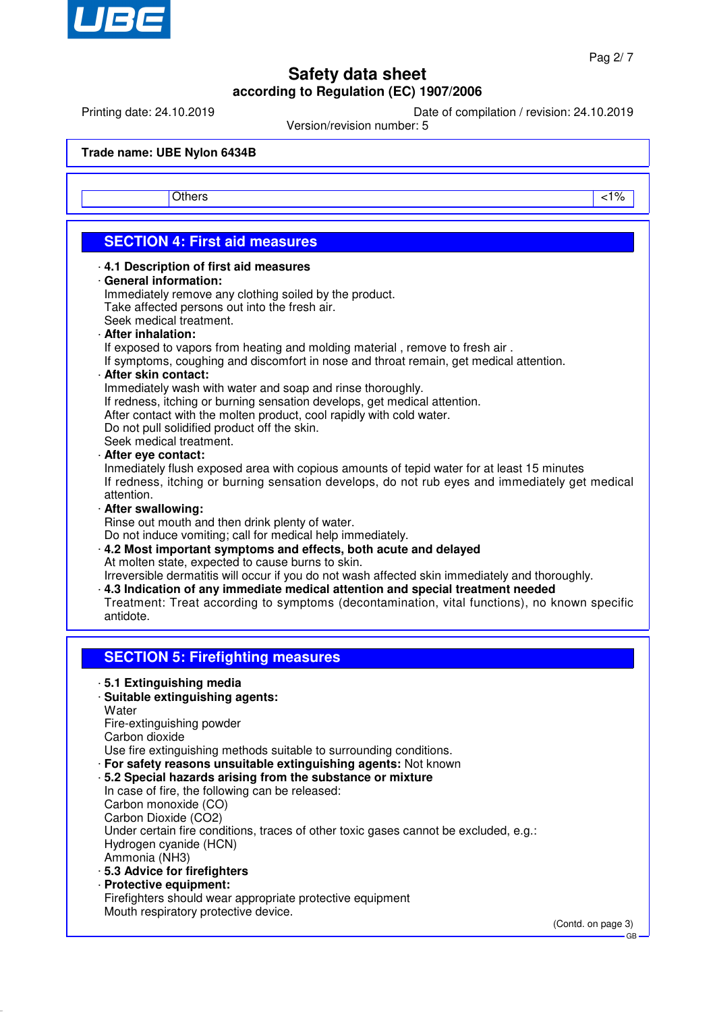

Printing date: 24.10.2019 Date of compilation / revision: 24.10.2019

Version/revision number: 5

**Trade name: UBE Nylon 6434B**

Others and the contract of the contract of the contract of the contract of the contract of the contract of the contract of the contract of the contract of the contract of the contract of the contract of the contract of the

## **SECTION 4: First aid measures**

#### · **4.1 Description of first aid measures**

#### · **General information:**

Immediately remove any clothing soiled by the product. Take affected persons out into the fresh air. Seek medical treatment.

· **After inhalation:**

If exposed to vapors from heating and molding material, remove to fresh air.

If symptoms, coughing and discomfort in nose and throat remain, get medical attention.

### · **After skin contact:**

Immediately wash with water and soap and rinse thoroughly.

If redness, itching or burning sensation develops, get medical attention.

After contact with the molten product, cool rapidly with cold water.

Do not pull solidified product off the skin.

Seek medical treatment.

· **After eye contact:**

Inmediately flush exposed area with copious amounts of tepid water for at least 15 minutes If redness, itching or burning sensation develops, do not rub eyes and immediately get medical attention.

· **After swallowing:**

Rinse out mouth and then drink plenty of water.

Do not induce vomiting; call for medical help immediately.

· **4.2 Most important symptoms and effects, both acute and delayed** At molten state, expected to cause burns to skin.

Irreversible dermatitis will occur if you do not wash affected skin immediately and thoroughly.

· **4.3 Indication of any immediate medical attention and special treatment needed**

Treatment: Treat according to symptoms (decontamination, vital functions), no known specific antidote.

## **SECTION 5: Firefighting measures**

· **5.1 Extinguishing media**

### · **Suitable extinguishing agents:**

**Water** 

Fire-extinguishing powder

Carbon dioxide

Use fire extinguishing methods suitable to surrounding conditions.

· **For safety reasons unsuitable extinguishing agents:** Not known

### · **5.2 Special hazards arising from the substance or mixture**

In case of fire, the following can be released: Carbon monoxide (CO) Carbon Dioxide (CO2) Under certain fire conditions, traces of other toxic gases cannot be excluded, e.g.: Hydrogen cyanide (HCN) Ammonia (NH3)

- · **5.3 Advice for firefighters**
- · **Protective equipment:** Firefighters should wear appropriate protective equipment Mouth respiratory protective device.

(Contd. on page 3)

GB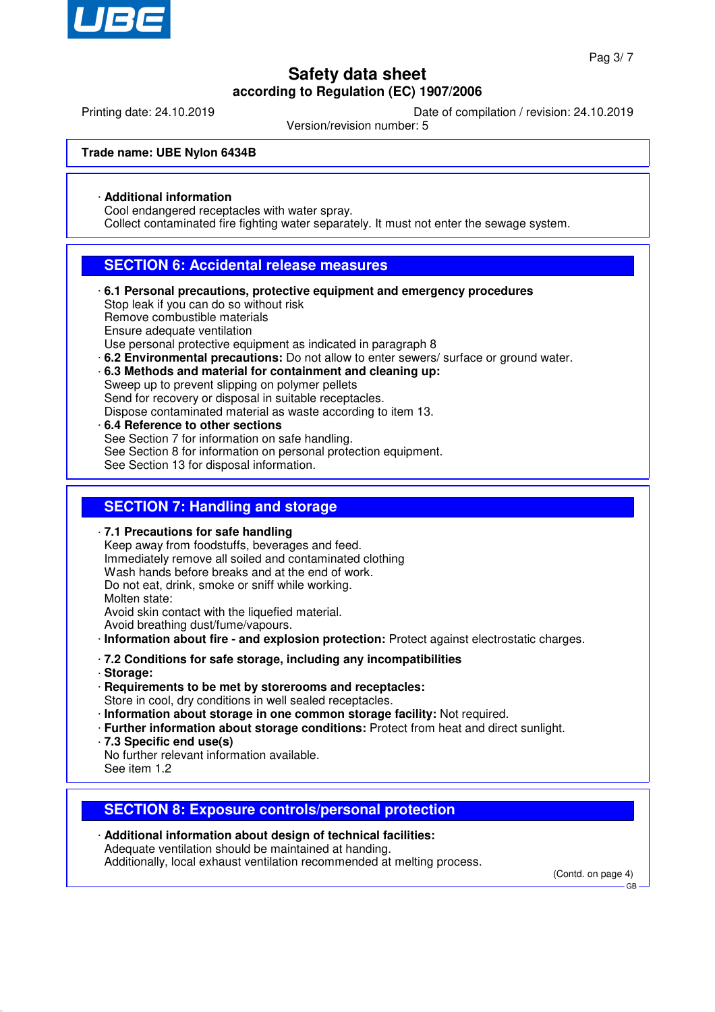

Printing date: 24.10.2019 Date of compilation / revision: 24.10.2019

Version/revision number: 5

### **Trade name: UBE Nylon 6434B**

### · **Additional information**

Cool endangered receptacles with water spray.

Collect contaminated fire fighting water separately. It must not enter the sewage system.

### **SECTION 6: Accidental release measures**

- · **6.1 Personal precautions, protective equipment and emergency procedures** Stop leak if you can do so without risk Remove combustible materials Ensure adequate ventilation Use personal protective equipment as indicated in paragraph 8
- · **6.2 Environmental precautions:** Do not allow to enter sewers/ surface or ground water.
- · **6.3 Methods and material for containment and cleaning up:**

Sweep up to prevent slipping on polymer pellets

Send for recovery or disposal in suitable receptacles.

- Dispose contaminated material as waste according to item 13.
- · **6.4 Reference to other sections** See Section 7 for information on safe handling. See Section 8 for information on personal protection equipment. See Section 13 for disposal information.

### **SECTION 7: Handling and storage**

· **7.1 Precautions for safe handling** Keep away from foodstuffs, beverages and feed. Immediately remove all soiled and contaminated clothing Wash hands before breaks and at the end of work. Do not eat, drink, smoke or sniff while working. Molten state: Avoid skin contact with the liquefied material. Avoid breathing dust/fume/vapours. · **Information about fire - and explosion protection:** Protect against electrostatic charges. · **7.2 Conditions for safe storage, including any incompatibilities**

- · **Storage:**
- · **Requirements to be met by storerooms and receptacles:**

Store in cool, dry conditions in well sealed receptacles.

- · **Information about storage in one common storage facility:** Not required.
- · **Further information about storage conditions:** Protect from heat and direct sunlight.
- · **7.3 Specific end use(s)**

No further relevant information available. See item 1.2

### **SECTION 8: Exposure controls/personal protection**

· **Additional information about design of technical facilities:** Adequate ventilation should be maintained at handing. Additionally, local exhaust ventilation recommended at melting process.

(Contd. on page 4)

GB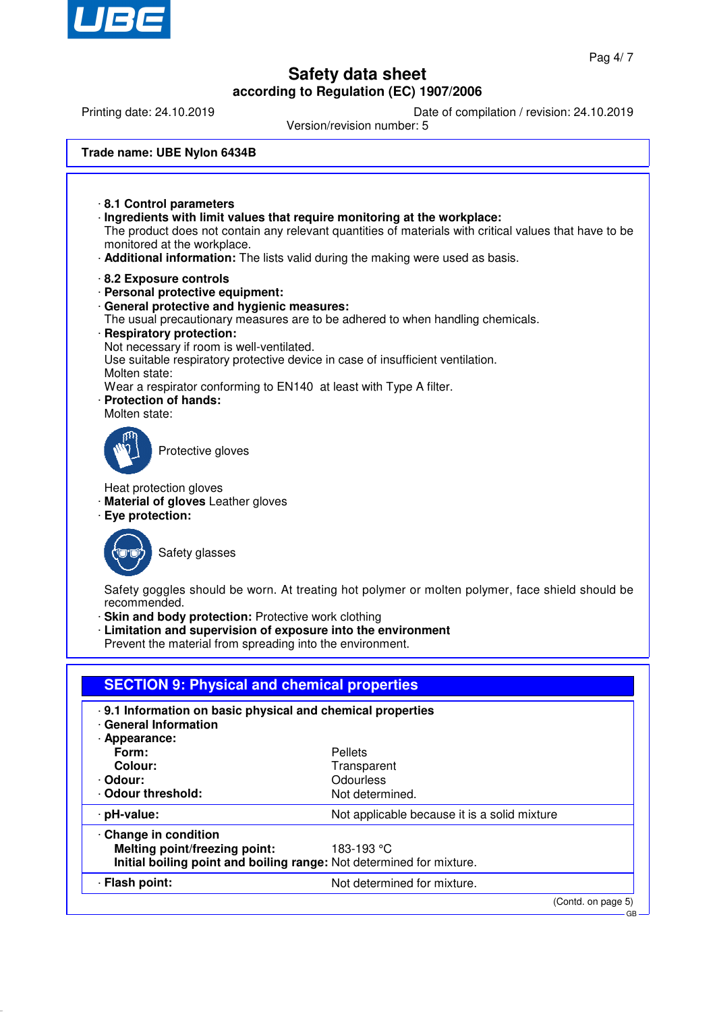

Printing date: 24.10.2019 Date of compilation / revision: 24.10.2019

Version/revision number: 5

| Trade name: UBE Nylon 6434B |
|-----------------------------|
|-----------------------------|

· **8.1 Control parameters** · **Ingredients with limit values that require monitoring at the workplace:** The product does not contain any relevant quantities of materials with critical values that have to be monitored at the workplace. · **Additional information:** The lists valid during the making were used as basis. · **8.2 Exposure controls** · **Personal protective equipment:** · **General protective and hygienic measures:** The usual precautionary measures are to be adhered to when handling chemicals. · **Respiratory protection:** Not necessary if room is well-ventilated. Use suitable respiratory protective device in case of insufficient ventilation. Molten state: Wear a respirator conforming to EN140 at least with Type A filter. · **Protection of hands:** Molten state: Protective gloves Heat protection gloves · **Material of gloves** Leather gloves · **Eye protection:** Safety glasses Safety goggles should be worn. At treating hot polymer or molten polymer, face shield should be recommended. · **Skin and body protection:** Protective work clothing · **Limitation and supervision of exposure into the environment** Prevent the material from spreading into the environment. **SECTION 9: Physical and chemical properties** · **9.1 Information on basic physical and chemical properties** · **General Information** · **Appearance:** Form: Pellets **Colour:** Transparent · **Odour:** Odourless<br> **Codour threshold:** Contract Modur Contract Modur Contract Modurless · Odour threshold: · **pH-value:** Not applicable because it is a solid mixture · **Change in condition Melting point/freezing point:** 183-193 °C **Initial boiling point and boiling range:** Not determined for mixture. · **Flash point:** Not determined for mixture.

(Contd. on page 5)

GB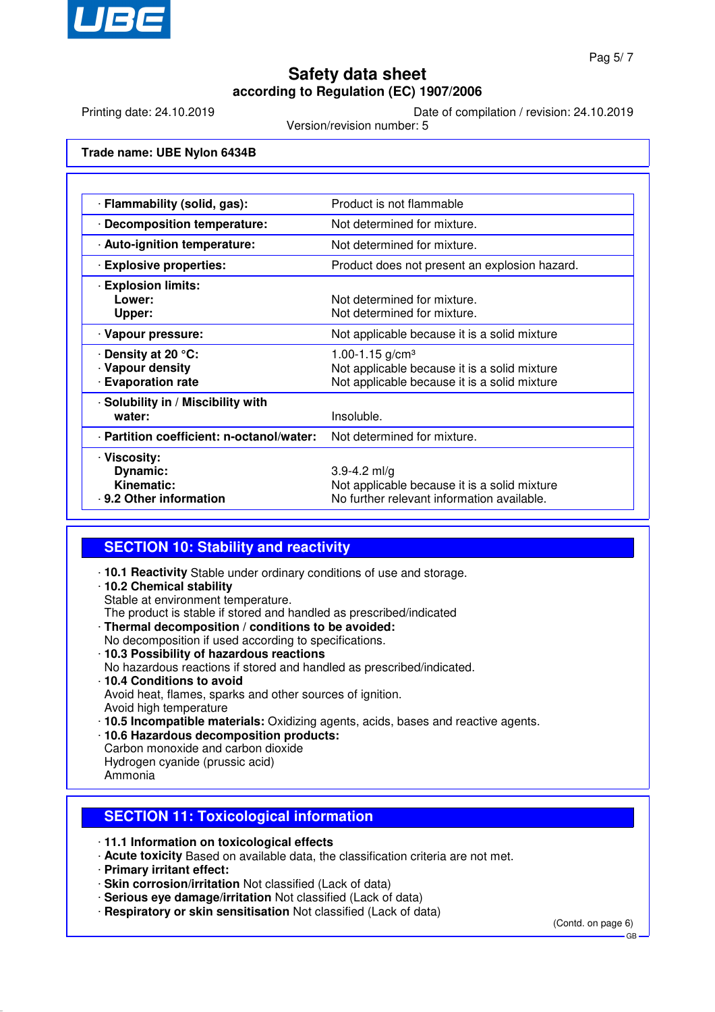

Printing date: 24.10.2019 Date of compilation / revision: 24.10.2019

Version/revision number: 5

**Trade name: UBE Nylon 6434B**

| · Flammability (solid, gas):              | Product is not flammable                      |
|-------------------------------------------|-----------------------------------------------|
| · Decomposition temperature:              | Not determined for mixture.                   |
| · Auto-ignition temperature:              | Not determined for mixture.                   |
| <b>Explosive properties:</b>              | Product does not present an explosion hazard. |
| <b>Explosion limits:</b>                  |                                               |
| Lower:                                    | Not determined for mixture.                   |
| Upper:                                    | Not determined for mixture.                   |
| · Vapour pressure:                        | Not applicable because it is a solid mixture  |
| ⋅ Density at 20 °C:                       | 1.00-1.15 $g/cm3$                             |
| · Vapour density                          | Not applicable because it is a solid mixture  |
| <b>Evaporation rate</b>                   | Not applicable because it is a solid mixture  |
| · Solubility in / Miscibility with        |                                               |
| water:                                    | Insoluble.                                    |
| · Partition coefficient: n-octanol/water: | Not determined for mixture.                   |
| · Viscosity:                              |                                               |
| Dynamic:                                  | 3.9-4.2 ml/g                                  |
| <b>Kinematic:</b>                         | Not applicable because it is a solid mixture  |
| . 9.2 Other information                   | No further relevant information available.    |

## **SECTION 10: Stability and reactivity**

- · **10.1 Reactivity** Stable under ordinary conditions of use and storage.
- · **10.2 Chemical stability**

Stable at environment temperature.

- The product is stable if stored and handled as prescribed/indicated
- · **Thermal decomposition / conditions to be avoided:** No decomposition if used according to specifications.
- · **10.3 Possibility of hazardous reactions**
- No hazardous reactions if stored and handled as prescribed/indicated.
- · **10.4 Conditions to avoid** Avoid heat, flames, sparks and other sources of ignition. Avoid high temperature
- · **10.5 Incompatible materials:** Oxidizing agents, acids, bases and reactive agents.
- · **10.6 Hazardous decomposition products:**
- Carbon monoxide and carbon dioxide Hydrogen cyanide (prussic acid)
- Ammonia

## **SECTION 11: Toxicological information**

- · **11.1 Information on toxicological effects**
- · **Acute toxicity** Based on available data, the classification criteria are not met.
- · **Primary irritant effect:**
- · **Skin corrosion/irritation** Not classified (Lack of data)
- · **Serious eye damage/irritation** Not classified (Lack of data)
- · **Respiratory or skin sensitisation** Not classified (Lack of data)

(Contd. on page 6)

GB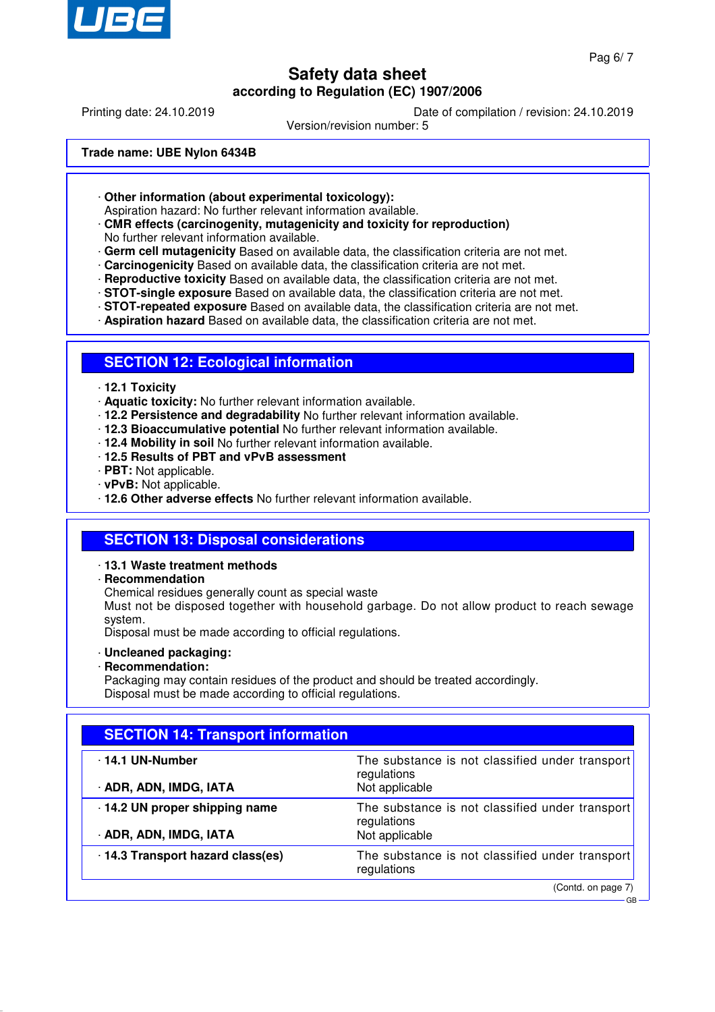

GB

## **Safety data sheet according to Regulation (EC) 1907/2006**

Printing date: 24.10.2019 Date of compilation / revision: 24.10.2019

Version/revision number: 5

#### **Trade name: UBE Nylon 6434B**

· **Other information (about experimental toxicology):**

Aspiration hazard: No further relevant information available.

#### · **CMR effects (carcinogenity, mutagenicity and toxicity for reproduction)** No further relevant information available.

· **Germ cell mutagenicity** Based on available data, the classification criteria are not met.

- · **Carcinogenicity** Based on available data, the classification criteria are not met.
- 
- · **Reproductive toxicity** Based on available data, the classification criteria are not met. · **STOT-single exposure** Based on available data, the classification criteria are not met.
- · **STOT-repeated exposure** Based on available data, the classification criteria are not met.
- · **Aspiration hazard** Based on available data, the classification criteria are not met.

### **SECTION 12: Ecological information**

- · **12.1 Toxicity**
- · **Aquatic toxicity:** No further relevant information available.
- · **12.2 Persistence and degradability** No further relevant information available.
- · **12.3 Bioaccumulative potential** No further relevant information available.
- · **12.4 Mobility in soil** No further relevant information available.
- · **12.5 Results of PBT and vPvB assessment**
- · **PBT:** Not applicable.
- · **vPvB:** Not applicable.
- · **12.6 Other adverse effects** No further relevant information available.

### **SECTION 13: Disposal considerations**

#### · **13.1 Waste treatment methods**

· **Recommendation**

Chemical residues generally count as special waste

Must not be disposed together with household garbage. Do not allow product to reach sewage system.

Disposal must be made according to official regulations.

- · **Uncleaned packaging:**
- · **Recommendation:**

Packaging may contain residues of the product and should be treated accordingly. Disposal must be made according to official regulations.

| <b>SECTION 14: Transport information</b>               |                                                                                  |  |  |
|--------------------------------------------------------|----------------------------------------------------------------------------------|--|--|
| $\cdot$ 14.1 UN-Number<br>· ADR, ADN, IMDG, IATA       | The substance is not classified under transport<br>regulations<br>Not applicable |  |  |
| 14.2 UN proper shipping name<br>· ADR, ADN, IMDG, IATA | The substance is not classified under transport<br>regulations<br>Not applicable |  |  |
| 14.3 Transport hazard class(es)                        | The substance is not classified under transport<br>regulations                   |  |  |
|                                                        | (Contd. on page 7)                                                               |  |  |